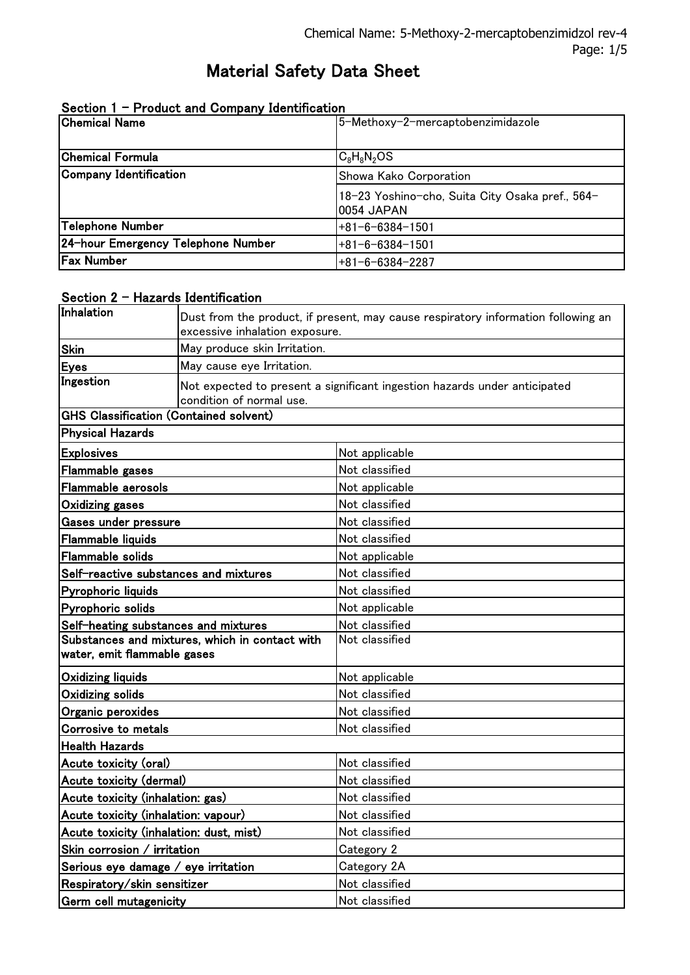# Material Safety Data Sheet

| <b>Chemical Name</b>               | 5-Methoxy-2-mercaptobenzimidazole                             |
|------------------------------------|---------------------------------------------------------------|
| <b>Chemical Formula</b>            | $C_8H_8N_2OS$                                                 |
| Company Identification             | Showa Kako Corporation                                        |
|                                    | 18-23 Yoshino-cho, Suita City Osaka pref., 564-<br>0054 JAPAN |
| Telephone Number                   | $+81-6-6384-1501$                                             |
| 24-hour Emergency Telephone Number | $+81 - 6 - 6384 - 1501$                                       |
| <b>Fax Number</b>                  | $+81-6-6384-2287$                                             |

|  | Section 1 - Product and Company Identification |  |  |
|--|------------------------------------------------|--|--|
|--|------------------------------------------------|--|--|

#### Section 2 - Hazards Identification

| Inhalation                                                                    |                                |                                                                                   |  |
|-------------------------------------------------------------------------------|--------------------------------|-----------------------------------------------------------------------------------|--|
|                                                                               | excessive inhalation exposure. | Dust from the product, if present, may cause respiratory information following an |  |
| Skin                                                                          | May produce skin Irritation.   |                                                                                   |  |
| <b>Eyes</b>                                                                   | May cause eye Irritation.      |                                                                                   |  |
| Ingestion                                                                     | condition of normal use.       | Not expected to present a significant ingestion hazards under anticipated         |  |
| <b>GHS Classification (Contained solvent)</b>                                 |                                |                                                                                   |  |
| <b>Physical Hazards</b>                                                       |                                |                                                                                   |  |
| <b>Explosives</b>                                                             |                                | Not applicable                                                                    |  |
| <b>Flammable gases</b>                                                        |                                | Not classified                                                                    |  |
| Flammable aerosols                                                            |                                | Not applicable                                                                    |  |
| <b>Oxidizing gases</b>                                                        |                                | Not classified                                                                    |  |
| Gases under pressure                                                          |                                | Not classified                                                                    |  |
| <b>Flammable liquids</b>                                                      |                                | Not classified                                                                    |  |
| <b>Flammable solids</b>                                                       |                                | Not applicable                                                                    |  |
| Self-reactive substances and mixtures                                         |                                | Not classified                                                                    |  |
| Pyrophoric liquids                                                            |                                | Not classified                                                                    |  |
| Pyrophoric solids                                                             |                                | Not applicable                                                                    |  |
| Self-heating substances and mixtures                                          |                                | Not classified                                                                    |  |
| Substances and mixtures, which in contact with<br>water, emit flammable gases |                                | Not classified                                                                    |  |
| <b>Oxidizing liquids</b>                                                      |                                | Not applicable                                                                    |  |
| <b>Oxidizing solids</b>                                                       |                                | Not classified                                                                    |  |
| Organic peroxides                                                             |                                | Not classified                                                                    |  |
| <b>Corrosive to metals</b>                                                    |                                | Not classified                                                                    |  |
| <b>Health Hazards</b>                                                         |                                |                                                                                   |  |
| Acute toxicity (oral)                                                         |                                | Not classified                                                                    |  |
| Acute toxicity (dermal)                                                       |                                | Not classified                                                                    |  |
| Acute toxicity (inhalation: gas)                                              |                                | Not classified                                                                    |  |
| Acute toxicity (inhalation: vapour)                                           |                                | Not classified                                                                    |  |
| Acute toxicity (inhalation: dust, mist)                                       |                                | Not classified                                                                    |  |
| Skin corrosion / irritation                                                   |                                | Category 2                                                                        |  |
| Serious eye damage / eye irritation                                           |                                | Category 2A                                                                       |  |
| Respiratory/skin sensitizer                                                   |                                | Not classified                                                                    |  |
| Germ cell mutagenicity                                                        |                                | Not classified                                                                    |  |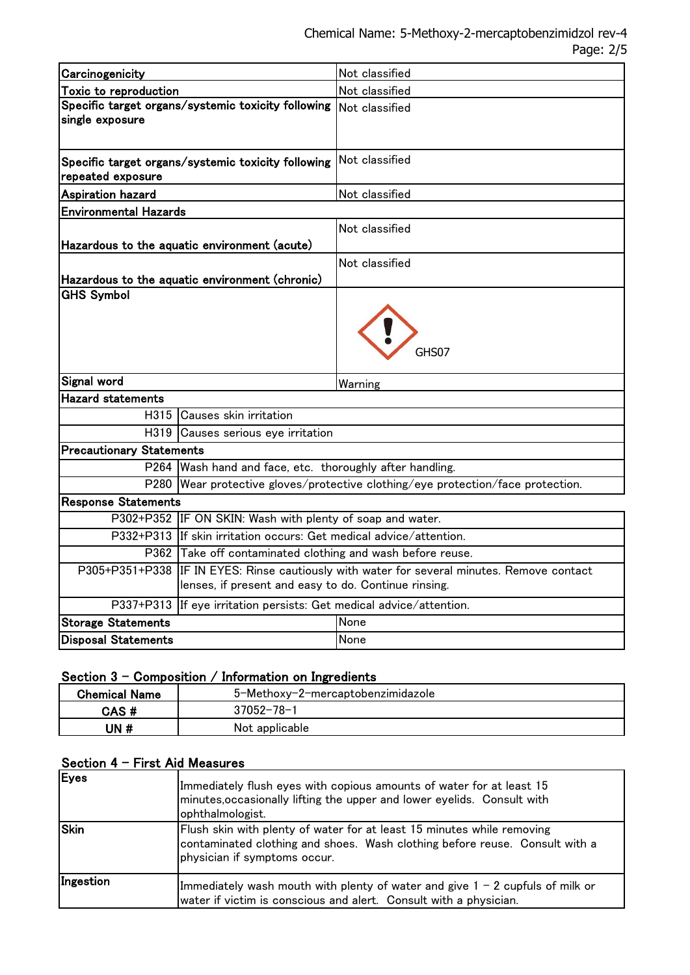| Carcinogenicity                                                       |                                                                                                                                     | Not classified                                                             |
|-----------------------------------------------------------------------|-------------------------------------------------------------------------------------------------------------------------------------|----------------------------------------------------------------------------|
| Toxic to reproduction                                                 |                                                                                                                                     | Not classified                                                             |
| Specific target organs/systemic toxicity following<br>single exposure |                                                                                                                                     | Not classified                                                             |
| repeated exposure                                                     | Specific target organs/systemic toxicity following                                                                                  | Not classified                                                             |
| <b>Aspiration hazard</b>                                              |                                                                                                                                     | Not classified                                                             |
| <b>Environmental Hazards</b>                                          |                                                                                                                                     |                                                                            |
|                                                                       | Hazardous to the aquatic environment (acute)                                                                                        | Not classified                                                             |
|                                                                       | Hazardous to the aquatic environment (chronic)                                                                                      | Not classified                                                             |
| <b>GHS Symbol</b>                                                     |                                                                                                                                     |                                                                            |
| Signal word                                                           |                                                                                                                                     | Warning                                                                    |
| <b>Hazard statements</b>                                              |                                                                                                                                     |                                                                            |
|                                                                       | H315 Causes skin irritation                                                                                                         |                                                                            |
| H319                                                                  | Causes serious eye irritation                                                                                                       |                                                                            |
| <b>Precautionary Statements</b>                                       |                                                                                                                                     |                                                                            |
| P264                                                                  | Wash hand and face, etc. thoroughly after handling.                                                                                 |                                                                            |
| P280                                                                  |                                                                                                                                     | Wear protective gloves/protective clothing/eye protection/face protection. |
| <b>Response Statements</b>                                            |                                                                                                                                     |                                                                            |
|                                                                       | P302+P352 IF ON SKIN: Wash with plenty of soap and water.                                                                           |                                                                            |
|                                                                       | P332+P313 If skin irritation occurs: Get medical advice/attention.                                                                  |                                                                            |
|                                                                       | P362 Take off contaminated clothing and wash before reuse.                                                                          |                                                                            |
| P305+P351+P338                                                        | IF IN EYES: Rinse cautiously with water for several minutes. Remove contact<br>lenses, if present and easy to do. Continue rinsing. |                                                                            |
|                                                                       | P337+P313 If eye irritation persists: Get medical advice/attention.                                                                 |                                                                            |
| <b>Storage Statements</b>                                             |                                                                                                                                     | None                                                                       |
| <b>Disposal Statements</b>                                            |                                                                                                                                     | None                                                                       |

# Section  $3$  - Composition / Information on Ingredients

| Chemical Name | 5-Methoxy-2-mercaptobenzimidazole |
|---------------|-----------------------------------|
| CAS#          | $37052 - 78 - 1$                  |
| JN #          | Not applicable                    |

# Section 4 - First Aid Measures

| Eyes      | Immediately flush eyes with copious amounts of water for at least 15<br>minutes, occasionally lifting the upper and lower eyelids. Consult with<br>ophthalmologist.                   |
|-----------|---------------------------------------------------------------------------------------------------------------------------------------------------------------------------------------|
| Skin      | Flush skin with plenty of water for at least 15 minutes while removing<br>contaminated clothing and shoes. Wash clothing before reuse. Consult with a<br>physician if symptoms occur. |
| Ingestion | Immediately wash mouth with plenty of water and give $1 - 2$ cupfuls of milk or<br>water if victim is conscious and alert. Consult with a physician.                                  |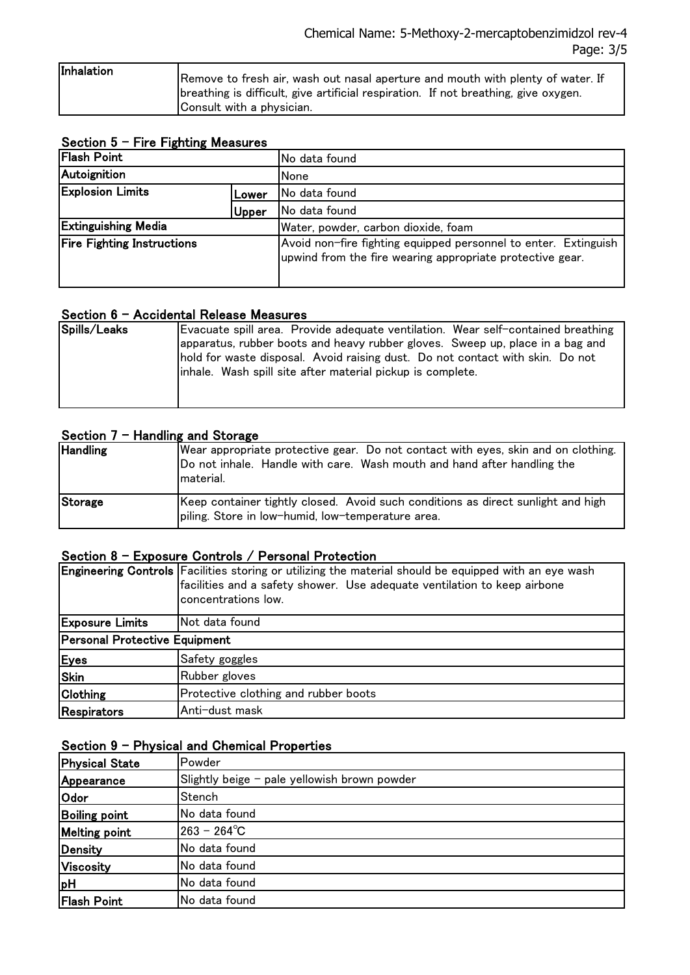| Inhalation |                                                                                     |
|------------|-------------------------------------------------------------------------------------|
|            | [Remove to fresh air, wash out nasal aperture and mouth with plenty of water. If    |
|            | breathing is difficult, give artificial respiration. If not breathing, give oxygen. |
|            | Consult with a physician.                                                           |

# Section  $5$  - Fire Fighting Measures

| <b>Flash Point</b>                |       | <b>INo data found</b>                                                                                                        |  |
|-----------------------------------|-------|------------------------------------------------------------------------------------------------------------------------------|--|
| Autoignition                      |       | None                                                                                                                         |  |
| <b>Explosion Limits</b>           | Lower | No data found                                                                                                                |  |
|                                   | Upper | No data found                                                                                                                |  |
| <b>Extinguishing Media</b>        |       | Water, powder, carbon dioxide, foam                                                                                          |  |
| <b>Fire Fighting Instructions</b> |       | Avoid non-fire fighting equipped personnel to enter. Extinguish<br>upwind from the fire wearing appropriate protective gear. |  |

#### Section 6 - Accidental Release Measures

| Spills/Leaks | Evacuate spill area. Provide adequate ventilation. Wear self-contained breathing |
|--------------|----------------------------------------------------------------------------------|
|              | apparatus, rubber boots and heavy rubber gloves. Sweep up, place in a bag and    |
|              | hold for waste disposal. Avoid raising dust. Do not contact with skin. Do not    |
|              | linhale. Wash spill site after material pickup is complete.                      |
|              |                                                                                  |
|              |                                                                                  |

#### Section  $7 -$  Handling and Storage

| <b>Handling</b> | Wear appropriate protective gear. Do not contact with eyes, skin and on clothing.<br>Do not inhale. Handle with care. Wash mouth and hand after handling the<br>material. |
|-----------------|---------------------------------------------------------------------------------------------------------------------------------------------------------------------------|
| Storage         | Keep container tightly closed. Avoid such conditions as direct sunlight and high<br>piling. Store in low-humid, low-temperature area.                                     |

# Section 8 - Exposure Controls / Personal Protection

|                               | Engineering Controls Facilities storing or utilizing the material should be equipped with an eye wash<br>facilities and a safety shower. Use adequate ventilation to keep airbone<br>concentrations low. |  |
|-------------------------------|----------------------------------------------------------------------------------------------------------------------------------------------------------------------------------------------------------|--|
| <b>Exposure Limits</b>        | Not data found                                                                                                                                                                                           |  |
| Personal Protective Equipment |                                                                                                                                                                                                          |  |
| Eyes                          | Safety goggles                                                                                                                                                                                           |  |
| Skin                          | Rubber gloves                                                                                                                                                                                            |  |
| Clothing                      | Protective clothing and rubber boots                                                                                                                                                                     |  |
| Respirators                   | Anti-dust mask                                                                                                                                                                                           |  |

# Section 9 - Physical and Chemical Properties

| <b>Physical State</b> | Powder                                       |
|-----------------------|----------------------------------------------|
| Appearance            | Slightly beige - pale yellowish brown powder |
| <b>Odor</b>           | Stench                                       |
| <b>Boiling point</b>  | No data found                                |
| <b>Melting point</b>  | $263 - 264^{\circ}C$                         |
| Density               | No data found                                |
| <b>Viscosity</b>      | No data found                                |
| <b>pH</b>             | No data found                                |
| <b>Flash Point</b>    | No data found                                |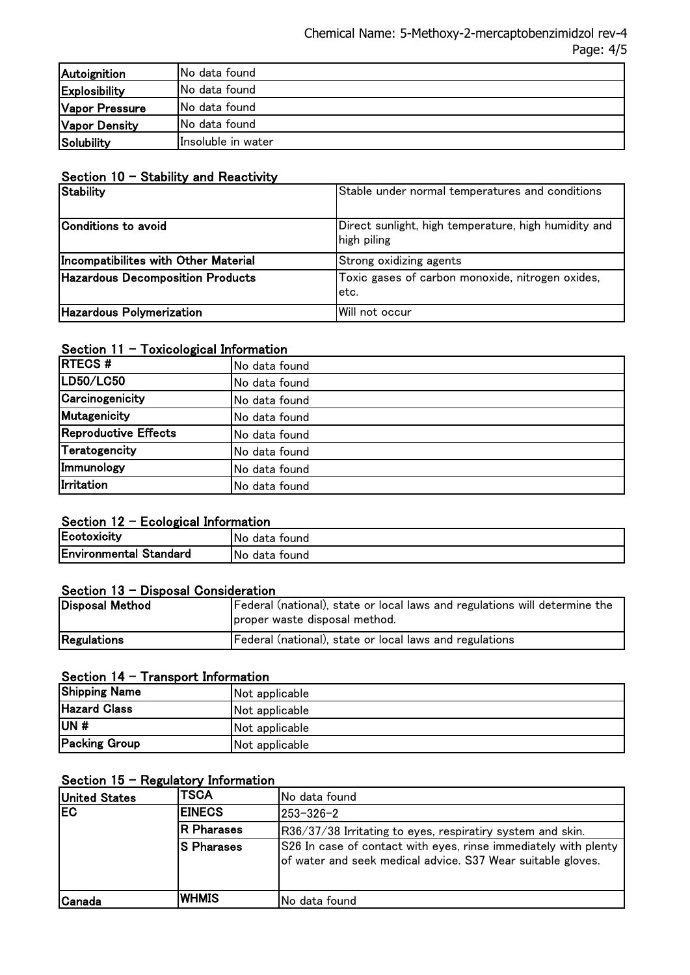| Autoignition         | <b>INo data found</b> |
|----------------------|-----------------------|
| Explosibility        | <b>INo data found</b> |
| Vapor Pressure       | <b>INo data found</b> |
| <b>Vapor Density</b> | No data found         |
| <b>Solubility</b>    | Insoluble in water    |

#### Section 10 - Stability and Reactivity

| <b>Stability</b>                     | Stable under normal temperatures and conditions                     |
|--------------------------------------|---------------------------------------------------------------------|
| Conditions to avoid                  | Direct sunlight, high temperature, high humidity and<br>high piling |
| Incompatibilites with Other Material | <b>Strong oxidizing agents</b>                                      |
| Hazardous Decomposition Products     | Toxic gases of carbon monoxide, nitrogen oxides,<br>letc.           |
| Hazardous Polymerization             | Will not occur                                                      |

# Section 11 - Toxicological Information

| <b>RTECS#</b>        | No data found |
|----------------------|---------------|
| LD50/LC50            | No data found |
| Carcinogenicity      | No data found |
| Mutagenicity         | No data found |
| Reproductive Effects | No data found |
| Teratogencity        | No data found |
| Immunology           | No data found |
| Irritation           | No data found |

# Section 12 - Ecological Information

| Ecotoxicity                   | 'No<br>tound<br>data |
|-------------------------------|----------------------|
| <b>Environmental Standard</b> | No.<br>tound<br>data |

#### Section 13 - Disposal Consideration

| Disposal Method | Federal (national), state or local laws and regulations will determine the<br>proper waste disposal method. |
|-----------------|-------------------------------------------------------------------------------------------------------------|
| Regulations     | Federal (national), state or local laws and regulations                                                     |

#### Section 14 - Transport Information

| <b>Shipping Name</b> | Not applicable |
|----------------------|----------------|
| <b>Hazard Class</b>  | Not applicable |
| UN#                  | Not applicable |
| <b>Packing Group</b> | Not applicable |

# Section  $15$  - Regulatory Information

| <b>United States</b> | <b>TSCA</b>       | <b>INo data found</b>                                                                                                          |
|----------------------|-------------------|--------------------------------------------------------------------------------------------------------------------------------|
| <b>IEC</b>           | <b>IEINECS</b>    | 1253-326-2                                                                                                                     |
|                      | <b>R</b> Pharases | R36/37/38 Irritating to eyes, respiratiry system and skin.                                                                     |
|                      | IS Pharases       | S26 In case of contact with eyes, rinse immediately with plenty<br>of water and seek medical advice. S37 Wear suitable gloves. |
| lCanada              | IWHMIS            | No data found                                                                                                                  |